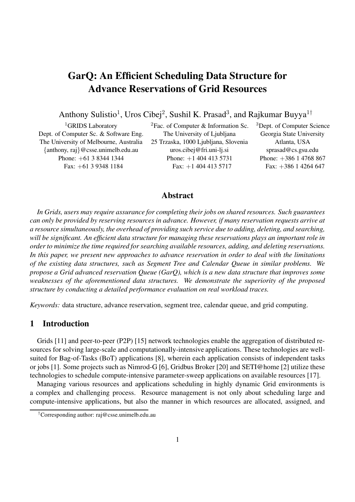# **GarQ: An Efficient Scheduling Data Structure for Advance Reservations of Grid Resources**

Anthony Sulistio<sup>1</sup>, Uros Cibej<sup>2</sup>, Sushil K. Prasad<sup>3</sup>, and Rajkumar Buyya<sup>1†</sup>

Dept. of Computer Sc. & Software Eng. The University of Ljubljana Georgia State University The University of Melbourne, Australia 25 Trzaska, 1000 Ljubljana, Slovenia Atlanta, USA {anthony, raj}@csse.unimelb.edu.au uros.cibej@fri.uni-lj.si sprasad@cs.gsu.edu

<sup>1</sup>GRIDS Laboratory <sup>2</sup>Fac. of Computer & Information Sc. <sup>3</sup>Dept. of Computer Science Phone: +61 3 8344 1344 Phone: +1 404 413 5731 Phone: +386 1 4768 867 Fax: +61 3 9348 1184 Fax: +1 404 413 5717 Fax: +386 1 4264 647

## **Abstract**

*In Grids, users may require assurance for completing their jobs on shared resources. Such guarantees can only be provided by reserving resources in advance. However, if many reservation requests arrive at a resource simultaneously, the overhead of providing such service due to adding, deleting, and searching, will be significant. An efficient data structure for managing these reservations plays an important role in order to minimize the time required for searching available resources, adding, and deleting reservations. In this paper, we present new approaches to advance reservation in order to deal with the limitations of the existing data structures, such as Segment Tree and Calendar Queue in similar problems. We propose a Grid advanced reservation Queue (GarQ), which is a new data structure that improves some weaknesses of the aforementioned data structures. We demonstrate the superiority of the proposed structure by conducting a detailed performance evaluation on real workload traces.*

*Keywords:* data structure, advance reservation, segment tree, calendar queue, and grid computing.

# **1 Introduction**

Grids [11] and peer-to-peer (P2P) [15] network technologies enable the aggregation of distributed resources for solving large-scale and computationally-intensive applications. These technologies are wellsuited for Bag-of-Tasks (BoT) applications [8], wherein each application consists of independent tasks or jobs [1]. Some projects such as Nimrod-G [6], Gridbus Broker [20] and SETI@home [2] utilize these technologies to schedule compute-intensive parameter-sweep applications on available resources [17].

Managing various resources and applications scheduling in highly dynamic Grid environments is a complex and challenging process. Resource management is not only about scheduling large and compute-intensive applications, but also the manner in which resources are allocated, assigned, and

<sup>†</sup>Corresponding author: raj@csse.unimelb.edu.au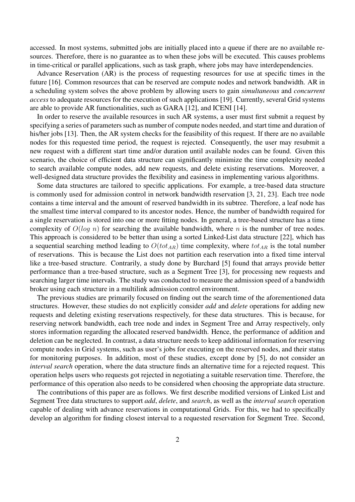accessed. In most systems, submitted jobs are initially placed into a queue if there are no available resources. Therefore, there is no guarantee as to when these jobs will be executed. This causes problems in time-critical or parallel applications, such as task graph, where jobs may have interdependencies.

Advance Reservation (AR) is the process of requesting resources for use at specific times in the future [16]. Common resources that can be reserved are compute nodes and network bandwidth. AR in a scheduling system solves the above problem by allowing users to gain *simultaneous* and *concurrent access* to adequate resources for the execution of such applications [19]. Currently, several Grid systems are able to provide AR functionalities, such as GARA [12], and ICENI [14].

In order to reserve the available resources in such AR systems, a user must first submit a request by specifying a series of parameters such as number of compute nodes needed, and start time and duration of his/her jobs [13]. Then, the AR system checks for the feasibility of this request. If there are no available nodes for this requested time period, the request is rejected. Consequently, the user may resubmit a new request with a different start time and/or duration until available nodes can be found. Given this scenario, the choice of efficient data structure can significantly minimize the time complexity needed to search available compute nodes, add new requests, and delete existing reservations. Moreover, a well-designed data structure provides the flexibility and easiness in implementing various algorithms.

Some data structures are tailored to specific applications. For example, a tree-based data structure is commonly used for admission control in network bandwidth reservation [3, 21, 23]. Each tree node contains a time interval and the amount of reserved bandwidth in its subtree. Therefore, a leaf node has the smallest time interval compared to its ancestor nodes. Hence, the number of bandwidth required for a single reservation is stored into one or more fitting nodes. In general, a tree-based structure has a time complexity of  $O(log n)$  for searching the available bandwidth, where n is the number of tree nodes. This approach is considered to be better than using a sorted Linked-List data structure [22], which has a sequential searching method leading to  $O(tot_{AR})$  time complexity, where  $tot_{AR}$  is the total number of reservations. This is because the List does not partition each reservation into a fixed time interval like a tree-based structure. Contrarily, a study done by Burchard [5] found that arrays provide better performance than a tree-based structure, such as a Segment Tree [3], for processing new requests and searching larger time intervals. The study was conducted to measure the admission speed of a bandwidth broker using each structure in a multilink admission control environment.

The previous studies are primarily focused on finding out the search time of the aforementioned data structures. However, these studies do not explicitly consider *add* and *delete* operations for adding new requests and deleting existing reservations respectively, for these data structures. This is because, for reserving network bandwidth, each tree node and index in Segment Tree and Array respectively, only stores information regarding the allocated reserved bandwidth. Hence, the performance of addition and deletion can be neglected. In contrast, a data structure needs to keep additional information for reserving compute nodes in Grid systems, such as user's jobs for executing on the reserved nodes, and their status for monitoring purposes. In addition, most of these studies, except done by [5], do not consider an *interval search* operation, where the data structure finds an alternative time for a rejected request. This operation helps users who requests got rejected in negotiating a suitable reservation time. Therefore, the performance of this operation also needs to be considered when choosing the appropriate data structure.

The contributions of this paper are as follows. We first describe modified versions of Linked List and Segment Tree data structures to support *add*, *delete*, and *search*, as well as the *interval search* operation capable of dealing with advance reservations in computational Grids. For this, we had to specifically develop an algorithm for finding closest interval to a requested reservation for Segment Tree. Second,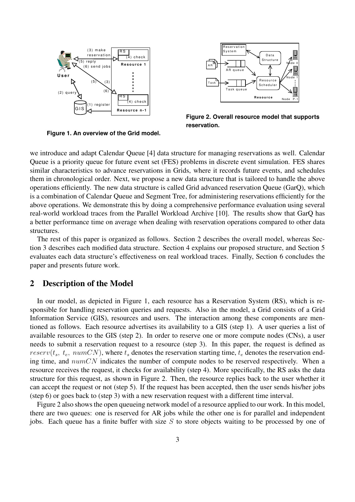

**Figure 1. An overview of the Grid model.**



**Figure 2. Overall resource model that supports reservation.**

we introduce and adapt Calendar Queue [4] data structure for managing reservations as well. Calendar Queue is a priority queue for future event set (FES) problems in discrete event simulation. FES shares similar characteristics to advance reservations in Grids, where it records future events, and schedules them in chronological order. Next, we propose a new data structure that is tailored to handle the above operations efficiently. The new data structure is called Grid advanced reservation Queue (GarQ), which is a combination of Calendar Queue and Segment Tree, for administering reservations efficiently for the above operations. We demonstrate this by doing a comprehensive performance evaluation using several real-world workload traces from the Parallel Workload Archive [10]. The results show that GarQ has a better performance time on average when dealing with reservation operations compared to other data structures.

The rest of this paper is organized as follows. Section 2 describes the overall model, whereas Section 3 describes each modified data structure. Section 4 explains our proposed structure, and Section 5 evaluates each data structure's effectiveness on real workload traces. Finally, Section 6 concludes the paper and presents future work.

## **2 Description of the Model**

In our model, as depicted in Figure 1, each resource has a Reservation System (RS), which is responsible for handling reservation queries and requests. Also in the model, a Grid consists of a Grid Information Service (GIS), resources and users. The interaction among these components are mentioned as follows. Each resource advertises its availability to a GIS (step 1). A user queries a list of available resources to the GIS (step 2). In order to reserve one or more compute nodes (CNs), a user needs to submit a reservation request to a resource (step 3). In this paper, the request is defined as  $reserv(t_s, t_e, numCN)$ , where  $t_s$  denotes the reservation starting time,  $t_e$  denotes the reservation ending time, and  $numCN$  indicates the number of compute nodes to be reserved respectively. When a resource receives the request, it checks for availability (step 4). More specifically, the RS asks the data structure for this request, as shown in Figure 2. Then, the resource replies back to the user whether it can accept the request or not (step 5). If the request has been accepted, then the user sends his/her jobs (step 6) or goes back to (step 3) with a new reservation request with a different time interval.

Figure 2 also shows the open queueing network model of a resource applied to our work. In this model, there are two queues: one is reserved for AR jobs while the other one is for parallel and independent jobs. Each queue has a finite buffer with size S to store objects waiting to be processed by one of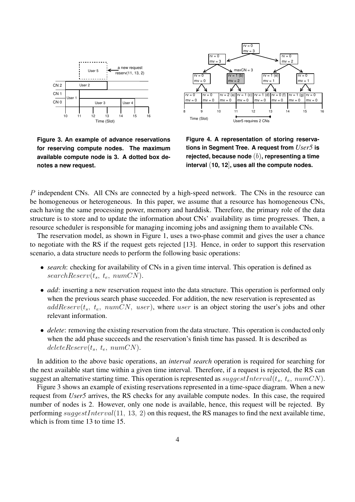

**Figure 3. An example of advance reservations for reserving compute nodes. The maximum available compute node is 3. A dotted box denotes a new request.**



**Figure 4. A representation of storing reservations in Segment Tree. A request from** *User5* **is rejected, because node** (b)**, representing a time interval** (**10, 12**]**, uses all the compute nodes.**

P independent CNs. All CNs are connected by a high-speed network. The CNs in the resource can be homogeneous or heterogeneous. In this paper, we assume that a resource has homogeneous CNs, each having the same processing power, memory and harddisk. Therefore, the primary role of the data structure is to store and to update the information about CNs' availability as time progresses. Then, a resource scheduler is responsible for managing incoming jobs and assigning them to available CNs.

The reservation model, as shown in Figure 1, uses a two-phase commit and gives the user a chance to negotiate with the RS if the request gets rejected [13]. Hence, in order to support this reservation scenario, a data structure needs to perform the following basic operations:

- *search*: checking for availability of CNs in a given time interval. This operation is defined as  $searchReserv(t_s, t_e, numCN).$
- *add*: inserting a new reservation request into the data structure. This operation is performed only when the previous search phase succeeded. For addition, the new reservation is represented as  $addReserv(t_s, t_e, numCN, user)$ , where user is an object storing the user's jobs and other relevant information.
- *delete*: removing the existing reservation from the data structure. This operation is conducted only when the add phase succeeds and the reservation's finish time has passed. It is described as  $deleteReserv(t_s, t_e, numCN).$

In addition to the above basic operations, an *interval search* operation is required for searching for the next available start time within a given time interval. Therefore, if a request is rejected, the RS can suggest an alternative starting time. This operation is represented as  $suggestInterval(t_s, t_e, numCN)$ .

Figure 3 shows an example of existing reservations represented in a time-space diagram. When a new request from *User5* arrives, the RS checks for any available compute nodes. In this case, the required number of nodes is 2. However, only one node is available, hence, this request will be rejected. By performing  $suggestInterval(11, 13, 2)$  on this request, the RS manages to find the next available time, which is from time 13 to time 15.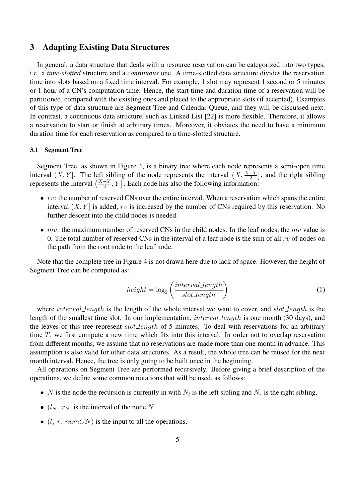## **3 Adapting Existing Data Structures**

In general, a data structure that deals with a resource reservation can be categorized into two types, i.e. a *time-slotted* structure and a *continuous* one. A time-slotted data structure divides the reservation time into slots based on a fixed time interval. For example, 1 slot may represent 1 second or 5 minutes or 1 hour of a CN's computation time. Hence, the start time and duration time of a reservation will be partitioned, compared with the existing ones and placed to the appropriate slots (if accepted). Examples of this type of data structure are Segment Tree and Calendar Queue, and they will be discussed next. In contrast, a continuous data structure, such as Linked List [22] is more flexible. Therefore, it allows a reservation to start or finish at arbitrary times. Moreover, it obviates the need to have a minimum duration time for each reservation as compared to a time-slotted structure.

#### **3.1 Segment Tree**

Segment Tree, as shown in Figure 4, is a binary tree where each node represents a semi-open time interval  $(X, Y]$ . The left sibling of the node represents the interval  $(X, \frac{X+Y}{2})$  $\frac{+Y}{2}$ , and the right sibling represents the interval  $\left(\frac{X+Y}{2}, Y\right)$ . Each node has also the following information:

- $rv:$  the number of reserved CNs over the entire interval. When a reservation which spans the entire interval  $(X, Y)$  is added, rv is increased by the number of CNs required by this reservation. No further descent into the child nodes is needed.
- $mv$ : the maximum number of reserved CNs in the child nodes. In the leaf nodes, the mv value is 0. The total number of reserved CNs in the interval of a leaf node is the sum of all  $rv$  of nodes on the path from the root node to the leaf node.

Note that the complete tree in Figure 4 is not drawn here due to lack of space. However, the height of Segment Tree can be computed as:

$$
height = \log_2\left(\frac{interval\_length}{slot\_length}\right) \tag{1}
$$

where *interval length* is the length of the whole interval we want to cover, and *slot length* is the length of the smallest time slot. In our implementation, *interval length* is one month (30 days), and the leaves of this tree represent *slot length* of 5 minutes. To deal with reservations for an arbitrary time T, we first compute a new time which fits into this interval. In order not to overlap reservation from different months, we assume that no reservations are made more than one month in advance. This assumption is also valid for other data structures. As a result, the whole tree can be reused for the next month interval. Hence, the tree is only going to be built once in the beginning.

All operations on Segment Tree are performed recursively. Before giving a brief description of the operations, we define some common notations that will be used, as follows:

- N is the node the recursion is currently in with  $N_l$  is the left sibling and  $N_r$  is the right sibling.
- $(l_N, r_N]$  is the interval of the node N.
- $(l, r, numCN)$  is the input to all the operations.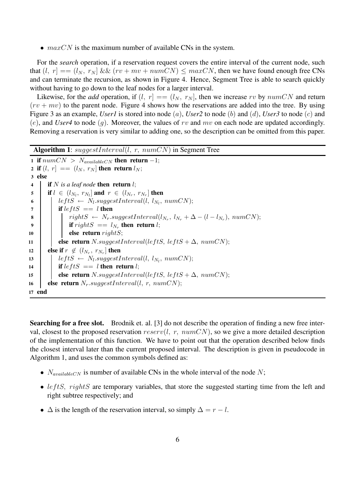•  $maxCN$  is the maximum number of available CNs in the system.

For the *search* operation, if a reservation request covers the entire interval of the current node, such that  $(l, r] = (l_N, r_N] \&\& (rv + mv + numCN) \leq maxCN$ , then we have found enough free CNs and can terminate the recursion, as shown in Figure 4. Hence, Segment Tree is able to search quickly without having to go down to the leaf nodes for a larger interval.

Likewise, for the *add* operation, if  $(l, r] = (l_N, r_N)$ , then we increase rv by numCN and return  $(rv + mv)$  to the parent node. Figure 4 shows how the reservations are added into the tree. By using Figure 3 as an example, *User1* is stored into node (a), *User2* to node (b) and (d), *User3* to node (c) and  $(e)$ , and *User4* to node  $(g)$ . Moreover, the values of rv and mv on each node are updated accordingly. Removing a reservation is very similar to adding one, so the description can be omitted from this paper.

```
Algorithm 1: suggestInterval(l, r, numCN) in Segment Tree
```

```
1 if numCN > N_{available CN} then return -1;
 2 if (l, r) = (l_N, r_N) then return l_N;
 3 else
 4 if N is a leaf node then return l;
 if l \in (l_{N_l}, r_{N_l}] and r \in (l_{N_r}, r_{N_r}] then
 \begin{array}{ll} \textbf{6} & | & left \textbf{8} \leftarrow N_l.\textit{suggestInterval}(l, l_{N_l}, \textit{numCN}); \end{array}7 if left S == l then
 \begin{array}{ll}\n\mathbf{s} & \vert & \vert & \text{right} \mathbf{S} \leftarrow N_r.\text{suggestInterval}(l_{N_r}, l_{N_r} + \Delta - (l - l_{N_r}), \text{ numCN});\n\end{array}9 \begin{bmatrix} \phantom{i} \end{bmatrix} if rightS == l_{N_r} then return l;
10 else return rightS;
11 else return N.suggestInterval(leftS, leftS + ∆, numCN);
12 else if r \notin (l_{N_r}, r_{N_r}] then
\begin{array}{lll} \textbf{13} & | & \textbf{leftS} \leftarrow N_l.\textit{suggestInterval}(l, l_{N_l}, \textit{numCN}); \end{array}14 if leftS == l then return l;
15 else return N.suggestInterval(leftS, leftS + \Delta, numCN);
16 else return N_r suggestInterval(l, r, numCN);
17 end
```
**Searching for a free slot.** Brodnik et. al. [3] do not describe the operation of finding a new free interval, closest to the proposed reservation  $reserv(l, r, numCN)$ , so we give a more detailed description of the implementation of this function. We have to point out that the operation described below finds the closest interval later than the current proposed interval. The description is given in pseudocode in Algorithm 1, and uses the common symbols defined as:

- $N_{available CN}$  is number of available CNs in the whole interval of the node N;
- leftS, rightS are temporary variables, that store the suggested starting time from the left and right subtree respectively; and
- $\Delta$  is the length of the reservation interval, so simply  $\Delta = r l$ .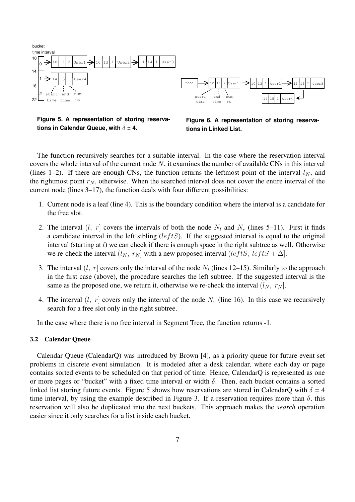

**Figure 5. A representation of storing reservations** in Calendar Queue, with  $\delta = 4$ .



**Figure 6. A representation of storing reservations in Linked List.**

The function recursively searches for a suitable interval. In the case where the reservation interval covers the whole interval of the current node  $N$ , it examines the number of available CNs in this interval (lines 1–2). If there are enough CNs, the function returns the leftmost point of the interval  $l<sub>N</sub>$ , and the rightmost point  $r_N$ , otherwise. When the searched interval does not cover the entire interval of the current node (lines 3–17), the function deals with four different possibilities:

- 1. Current node is a leaf (line 4). This is the boundary condition where the interval is a candidate for the free slot.
- 2. The interval  $(l, r]$  covers the intervals of both the node  $N_l$  and  $N_r$  (lines 5–11). First it finds a candidate interval in the left sibling  $(leftS)$ . If the suggested interval is equal to the original interval (starting at  $l$ ) we can check if there is enough space in the right subtree as well. Otherwise we re-check the interval  $(l_N, r_N]$  with a new proposed interval  $(leftS, leftS + \Delta]$ .
- 3. The interval  $(l, r]$  covers only the interval of the node  $N_l$  (lines 12–15). Similarly to the approach in the first case (above), the procedure searches the left subtree. If the suggested interval is the same as the proposed one, we return it, otherwise we re-check the interval  $(l_N, r_N]$ .
- 4. The interval  $(l, r]$  covers only the interval of the node  $N_r$  (line 16). In this case we recursively search for a free slot only in the right subtree.

In the case where there is no free interval in Segment Tree, the function returns -1.

#### **3.2 Calendar Queue**

Calendar Queue (CalendarQ) was introduced by Brown [4], as a priority queue for future event set problems in discrete event simulation. It is modeled after a desk calendar, where each day or page contains sorted events to be scheduled on that period of time. Hence, CalendarQ is represented as one or more pages or "bucket" with a fixed time interval or width  $\delta$ . Then, each bucket contains a sorted linked list storing future events. Figure 5 shows how reservations are stored in CalendarQ with  $\delta = 4$ time interval, by using the example described in Figure 3. If a reservation requires more than  $\delta$ , this reservation will also be duplicated into the next buckets. This approach makes the *search* operation easier since it only searches for a list inside each bucket.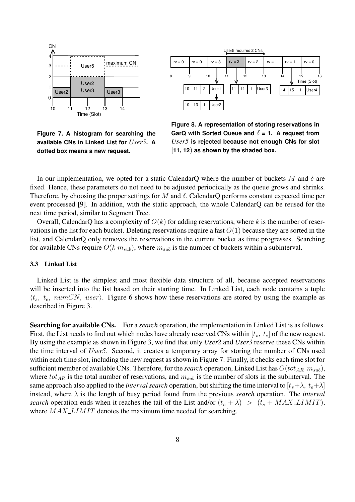

**Figure 7. A histogram for searching the available CNs in Linked List for** *User5***. A dotted box means a new request.**



**Figure 8. A representation of storing reservations in GarQ with Sorted Queue and** δ **= 1. A request from** *User5* **is rejected because not enough CNs for slot** [**11, 12**) **as shown by the shaded box.**

In our implementation, we opted for a static CalendarQ where the number of buckets M and  $\delta$  are fixed. Hence, these parameters do not need to be adjusted periodically as the queue grows and shrinks. Therefore, by choosing the proper settings for M and  $\delta$ , CalendarQ performs constant expected time per event processed [9]. In addition, with the static approach, the whole CalendarQ can be reused for the next time period, similar to Segment Tree.

Overall, CalendarQ has a complexity of  $O(k)$  for adding reservations, where k is the number of reservations in the list for each bucket. Deleting reservations require a fast  $O(1)$  because they are sorted in the list, and CalendarQ only removes the reservations in the current bucket as time progresses. Searching for available CNs require  $O(k m_{sub})$ , where  $m_{sub}$  is the number of buckets within a subinterval.

#### **3.3 Linked List**

Linked List is the simplest and most flexible data structure of all, because accepted reservations will be inserted into the list based on their starting time. In Linked List, each node contains a tuple  $\langle t_s, t_e, numCN, user \rangle$ . Figure 6 shows how these reservations are stored by using the example as described in Figure 3.

**Searching for available CNs.** For a *search* operation, the implementation in Linked List is as follows. First, the List needs to find out which nodes have already reserved CNs within  $[t_s, t_e]$  of the new request. By using the example as shown in Figure 3, we find that only *User2* and *User3* reserve these CNs within the time interval of *User5*. Second, it creates a temporary array for storing the number of CNs used within each time slot, including the new request as shown in Figure 7. Finally, it checks each time slot for sufficient member of available CNs. Therefore, for the *search* operation, Linked List has  $O(tot_{AR} m_{sub})$ , where  $tot_{AR}$  is the total number of reservations, and  $m_{sub}$  is the number of slots in the subinterval. The same approach also applied to the *interval search* operation, but shifting the time interval to  $[t_s+\lambda, t_e+\lambda]$ instead, where λ is the length of busy period found from the previous *search* operation. The *interval search* operation ends when it reaches the tail of the List and/or  $(t_e + \lambda) > (t_s + MAX\_LIMIT)$ , where MAX\_LIMIT denotes the maximum time needed for searching.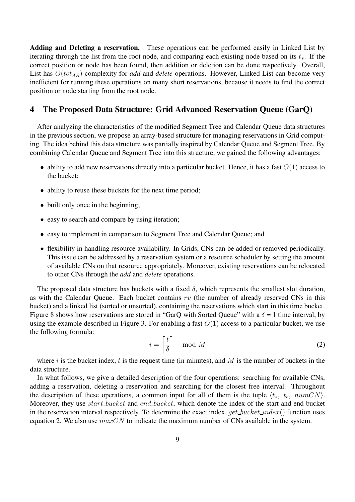**Adding and Deleting a reservation.** These operations can be performed easily in Linked List by iterating through the list from the root node, and comparing each existing node based on its  $t_s$ . If the correct position or node has been found, then addition or deletion can be done respectively. Overall, List has  $O(tot_{AR})$  complexity for *add* and *delete* operations. However, Linked List can become very inefficient for running these operations on many short reservations, because it needs to find the correct position or node starting from the root node.

# **4 The Proposed Data Structure: Grid Advanced Reservation Queue (GarQ)**

After analyzing the characteristics of the modified Segment Tree and Calendar Queue data structures in the previous section, we propose an array-based structure for managing reservations in Grid computing. The idea behind this data structure was partially inspired by Calendar Queue and Segment Tree. By combining Calendar Queue and Segment Tree into this structure, we gained the following advantages:

- ability to add new reservations directly into a particular bucket. Hence, it has a fast  $O(1)$  access to the bucket;
- ability to reuse these buckets for the next time period;
- built only once in the beginning;
- easy to search and compare by using iteration;
- easy to implement in comparison to Segment Tree and Calendar Queue; and
- flexibility in handling resource availability. In Grids, CNs can be added or removed periodically. This issue can be addressed by a reservation system or a resource scheduler by setting the amount of available CNs on that resource appropriately. Moreover, existing reservations can be relocated to other CNs through the *add* and *delete* operations.

The proposed data structure has buckets with a fixed  $\delta$ , which represents the smallest slot duration, as with the Calendar Queue. Each bucket contains  $rv$  (the number of already reserved CNs in this bucket) and a linked list (sorted or unsorted), containing the reservations which start in this time bucket. Figure 8 shows how reservations are stored in "GarQ with Sorted Queue" with a  $\delta = 1$  time interval, by using the example described in Figure 3. For enabling a fast  $O(1)$  access to a particular bucket, we use the following formula:

$$
i = \left\lceil \frac{t}{\delta} \right\rceil \mod M \tag{2}
$$

where i is the bucket index, t is the request time (in minutes), and  $M$  is the number of buckets in the data structure.

In what follows, we give a detailed description of the four operations: searching for available CNs, adding a reservation, deleting a reservation and searching for the closest free interval. Throughout the description of these operations, a common input for all of them is the tuple  $\langle t_s, t_e, numCN \rangle$ . Moreover, they use *start\_bucket* and *end\_bucket*, which denote the index of the start and end bucket in the reservation interval respectively. To determine the exact index,  $get\_bucket\_index()$  function uses equation 2. We also use  $maxCN$  to indicate the maximum number of CNs available in the system.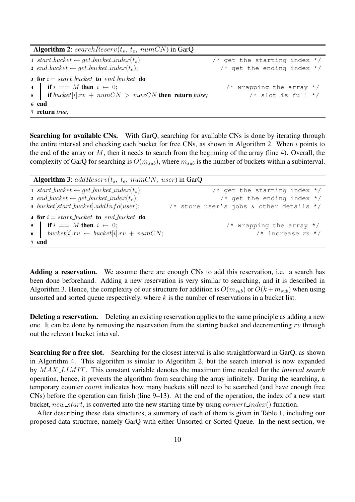**Algorithm 2**:  $searchReserv(t_s, t_e, numCN)$  in GarQ 1 start bucket  $\leftarrow$  get bucket index(t<sub>s</sub>); /\* get the starting index \*/ end bucket  $\leftarrow$  get bucket index(t<sub>e</sub>);  $\qquad \qquad$  /\* get the ending index \*/ **for**  $i = start\_bucket$  **to** end bucket **do if** i == M **then** i ← 0; /\* wrapping the array \*/ **if** bucket  $[i].rv + numCN > maxCN$  **then return** *false*;  $\frac{1}{2}$  **f**  $\frac{1}{2}$  **f**  $\frac{1}{2}$  **f**  $\frac{1}{2}$  **f**  $\frac{1}{2}$ **6 end return** *true;*

**Searching for available CNs.** With GarQ, searching for available CNs is done by iterating through the entire interval and checking each bucket for free CNs, as shown in Algorithm 2. When  $i$  points to the end of the array or  $M$ , then it needs to search from the beginning of the array (line 4). Overall, the complexity of GarQ for searching is  $O(m_{sub})$ , where  $m_{sub}$  is the number of buckets within a subinterval.

| <b>Algorithm 3:</b> $addReserv(t_s, t_e, numCN, user)$ in GarQ |                                         |  |  |  |  |  |
|----------------------------------------------------------------|-----------------------------------------|--|--|--|--|--|
| 1 start_bucket $\leftarrow$ get_bucket_index(t <sub>s</sub> ); | /* get the starting index $*/$          |  |  |  |  |  |
| 2 end_bucket $\leftarrow$ get_bucket_index(t <sub>e</sub> );   | /* get the ending index $*/$            |  |  |  |  |  |
| $3 \text{ bucket} [start\_bucket].addInfo(user);$              | /* store user's jobs & other details */ |  |  |  |  |  |
| 4 for $i = start\_bucket$ to end_bucket do                     |                                         |  |  |  |  |  |
| 5 if $i == M$ then $i \leftarrow 0$ ;                          | /* wrapping the array $*/$              |  |  |  |  |  |
| 6   $bucket[i].rv \leftarrow bucket[i].rv + numCN;$            | /* increase $rv$ */                     |  |  |  |  |  |
| 7 end                                                          |                                         |  |  |  |  |  |

**Adding a reservation.** We assume there are enough CNs to add this reservation, i.e. a search has been done beforehand. Adding a new reservation is very similar to searching, and it is described in Algorithm 3. Hence, the complexity of our structure for addition is  $O(m_{sub})$  or  $O(k + m_{sub})$  when using unsorted and sorted queue respectively, where  $k$  is the number of reservations in a bucket list.

**Deleting a reservation.** Deleting an existing reservation applies to the same principle as adding a new one. It can be done by removing the reservation from the starting bucket and decrementing rv through out the relevant bucket interval.

**Searching for a free slot.** Searching for the closest interval is also straightforward in GarQ, as shown in Algorithm 4. This algorithm is similar to Algorithm 2, but the search interval is now expanded by MAX LIMIT. This constant variable denotes the maximum time needed for the *interval search* operation, hence, it prevents the algorithm from searching the array infinitely. During the searching, a temporary counter count indicates how many buckets still need to be searched (and have enough free CNs) before the operation can finish (line 9–13). At the end of the operation, the index of a new start bucket, new start, is converted into the new starting time by using *convert index*() function.

After describing these data structures, a summary of each of them is given in Table 1, including our proposed data structure, namely GarQ with either Unsorted or Sorted Queue. In the next section, we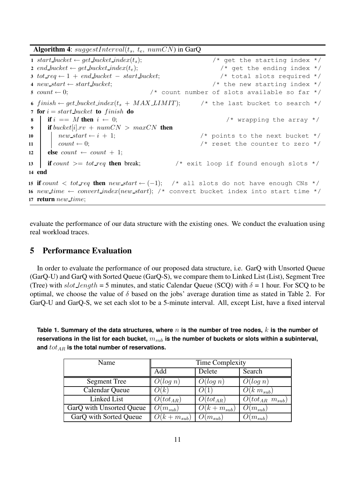**Algorithm 4:** suggestInterval( $t_s$ ,  $t_e$ ,  $numCN$ ) in GarQ 1 start bucket ← get bucket index(ts);  $\frac{1}{2}$  /\* get the starting index \*/ 2 end\_bucket  $\leftarrow$  get\_bucket\_index(t<sub>e</sub>); /\* get the ending index \*/ tot req ← 1 + end bucket − start bucket; /\* total slots required \*/ new start  $\leftarrow$  start bucket;  $\left(\frac{1}{2}\right)^*$  the new starting index  $\left(\frac{1}{2}\right)^*$  count ← 0; /\* count number of slots available so far \*/ finish  $\leftarrow$  get\_bucket\_index(t<sub>s</sub> + MAX\_LIMIT);  $\qquad$  /\* the last bucket to search \*/ **for**  $i = start\_bucket$  **to**  $finish$  **do if**  $i == M$  **then**  $i ← 0$ ;  $\qquad \qquad \qquad$  /\* wrapping the array \*/ **if** bucket [i].rv + numCN > maxCN **then**  new start ← i + 1; /\* points to the next bucket \*/  $\vert$  count  $\leftarrow$  0;  $\vert$  /\* reset the counter to zero \*/ **else** count  $\leftarrow$  count  $+1$ ; **if** count  $>= tot\_req$  **then** break;  $/*$  exit loop if found enough slots  $*/$ **14 end if** count < tot req **then** new start  $\leftarrow$  (-1); /\* all slots do not have enough CNs \*/ new time  $\leftarrow$  convert index (new start); /\* convert bucket index into start time \*/ **return** new time;

evaluate the performance of our data structure with the existing ones. We conduct the evaluation using real workload traces.

## **5 Performance Evaluation**

In order to evaluate the performance of our proposed data structure, i.e. GarQ with Unsorted Queue (GarQ-U) and GarQ with Sorted Queue (GarQ-S), we compare them to Linked List (List), Segment Tree (Tree) with slot length = 5 minutes, and static Calendar Queue (SCQ) with  $\delta = 1$  hour. For SCQ to be optimal, we choose the value of  $\delta$  based on the jobs' average duration time as stated in Table 2. For GarQ-U and GarQ-S, we set each slot to be a 5-minute interval. All, except List, have a fixed interval

**Table 1. Summary of the data structures, where** n **is the number of tree nodes,** k **is the number of reservations in the list for each bucket,** msub **is the number of buckets or slots within a subinterval,** and  $tot_{AR}$  is the total number of reservations.

| Name                     | Time Complexity |                |                       |  |
|--------------------------|-----------------|----------------|-----------------------|--|
|                          | Add             | Delete         | Search                |  |
| <b>Segment Tree</b>      | O(log n)        | O(log n)       | O(log n)              |  |
| Calendar Queue           | O(k)            |                | $O(k m_{sub})$        |  |
| Linked List              | $O(tot_{AR})$   | $O(tot_{AR})$  | $O(tot_{AR} m_{sub})$ |  |
| GarQ with Unsorted Queue | $O(m_{sub})$    | $O(k+m_{sub})$ | $O(m_{sub})$          |  |
| GarQ with Sorted Queue   | $O(k+m_{sub})$  | $O(m_{sub})$   | $(m_{sub})$           |  |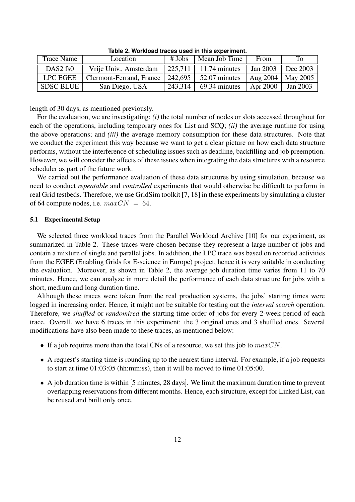| <b>Trace Name</b> | Location                 | $#$ Jobs | Mean Job Time | From     | To       |
|-------------------|--------------------------|----------|---------------|----------|----------|
| $DAS2$ fs $0$     | Vrije Univ., Amsterdam   | 225,711  | 11.74 minutes | Jan 2003 | Dec 2003 |
| <b>LPC EGEE</b>   | Clermont-Ferrand, France | 242,695  | 52.07 minutes | Aug 2004 | May 2005 |
| <b>SDSC BLUE</b>  | San Diego, USA           | 243.314  | 69.34 minutes | Apr 2000 | Jan 2003 |

**Table 2. Workload traces used in this experiment.**

length of 30 days, as mentioned previously.

For the evaluation, we are investigating: *(i)* the total number of nodes or slots accessed throughout for each of the operations, including temporary ones for List and SCQ; *(ii)* the average runtime for using the above operations; and *(iii)* the average memory consumption for these data structures. Note that we conduct the experiment this way because we want to get a clear picture on how each data structure performs, without the interference of scheduling issues such as deadline, backfilling and job preemption. However, we will consider the affects of these issues when integrating the data structures with a resource scheduler as part of the future work.

We carried out the performance evaluation of these data structures by using simulation, because we need to conduct *repeatable* and *controlled* experiments that would otherwise be difficult to perform in real Grid testbeds. Therefore, we use GridSim toolkit [7, 18] in these experiments by simulating a cluster of 64 compute nodes, i.e.  $maxCN = 64$ .

#### **5.1 Experimental Setup**

We selected three workload traces from the Parallel Workload Archive [10] for our experiment, as summarized in Table 2. These traces were chosen because they represent a large number of jobs and contain a mixture of single and parallel jobs. In addition, the LPC trace was based on recorded activities from the EGEE (Enabling Grids for E-science in Europe) project, hence it is very suitable in conducting the evaluation. Moreover, as shown in Table 2, the average job duration time varies from 11 to 70 minutes. Hence, we can analyze in more detail the performance of each data structure for jobs with a short, medium and long duration time.

Although these traces were taken from the real production systems, the jobs' starting times were logged in increasing order. Hence, it might not be suitable for testing out the *interval search* operation. Therefore, we *shuffled* or *randomized* the starting time order of jobs for every 2-week period of each trace. Overall, we have 6 traces in this experiment: the 3 original ones and 3 shuffled ones. Several modifications have also been made to these traces, as mentioned below:

- If a job requires more than the total CNs of a resource, we set this job to  $maxCN$ .
- A request's starting time is rounding up to the nearest time interval. For example, if a job requests to start at time 01:03:05 (hh:mm:ss), then it will be moved to time 01:05:00.
- A job duration time is within [5 minutes, 28 days]. We limit the maximum duration time to prevent overlapping reservations from different months. Hence, each structure, except for Linked List, can be reused and built only once.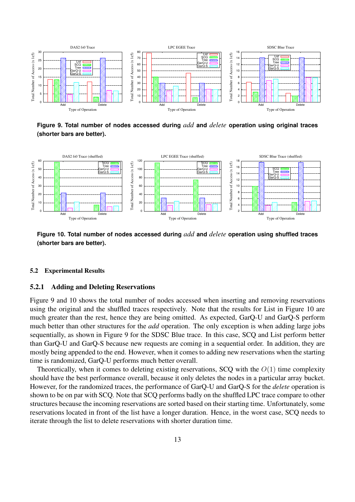

**Figure 9. Total number of nodes accessed during** *add* **and** *delete* **operation using original traces (shorter bars are better).**



**Figure 10. Total number of nodes accessed during** *add* **and** *delete* **operation using shuffled traces (shorter bars are better).**

#### **5.2 Experimental Results**

### **5.2.1 Adding and Deleting Reservations**

Figure 9 and 10 shows the total number of nodes accessed when inserting and removing reservations using the original and the shuffled traces respectively. Note that the results for List in Figure 10 are much greater than the rest, hence they are being omitted. As expected, GarQ-U and GarQ-S perform much better than other structures for the *add* operation. The only exception is when adding large jobs sequentially, as shown in Figure 9 for the SDSC Blue trace. In this case, SCQ and List perform better than GarQ-U and GarQ-S because new requests are coming in a sequential order. In addition, they are mostly being appended to the end. However, when it comes to adding new reservations when the starting time is randomized, GarQ-U performs much better overall.

Theoretically, when it comes to deleting existing reservations, SCO with the  $O(1)$  time complexity should have the best performance overall, because it only deletes the nodes in a particular array bucket. However, for the randomized traces, the performance of GarQ-U and GarQ-S for the *delete* operation is shown to be on par with SCQ. Note that SCQ performs badly on the shuffled LPC trace compare to other structures because the incoming reservations are sorted based on their starting time. Unfortunately, some reservations located in front of the list have a longer duration. Hence, in the worst case, SCQ needs to iterate through the list to delete reservations with shorter duration time.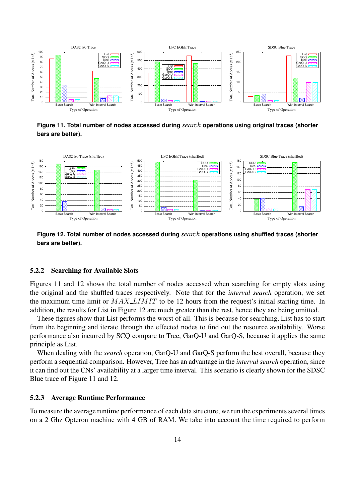

**Figure 11. Total number of nodes accessed during** *search* **operations using original traces (shorter bars are better).**



**Figure 12. Total number of nodes accessed during** *search* **operations using shuffled traces (shorter bars are better).**

#### **5.2.2 Searching for Available Slots**

Figures 11 and 12 shows the total number of nodes accessed when searching for empty slots using the original and the shuffled traces respectively. Note that for the *interval search* operation, we set the maximum time limit or  $MAX\_LIMIT$  to be 12 hours from the request's initial starting time. In addition, the results for List in Figure 12 are much greater than the rest, hence they are being omitted.

These figures show that List performs the worst of all. This is because for searching, List has to start from the beginning and iterate through the effected nodes to find out the resource availability. Worse performance also incurred by SCQ compare to Tree, GarQ-U and GarQ-S, because it applies the same principle as List.

When dealing with the *search* operation, GarQ-U and GarQ-S perform the best overall, because they perform a sequential comparison. However, Tree has an advantage in the *interval search* operation, since it can find out the CNs' availability at a larger time interval. This scenario is clearly shown for the SDSC Blue trace of Figure 11 and 12.

#### **5.2.3 Average Runtime Performance**

To measure the average runtime performance of each data structure, we run the experiments several times on a 2 Ghz Opteron machine with 4 GB of RAM. We take into account the time required to perform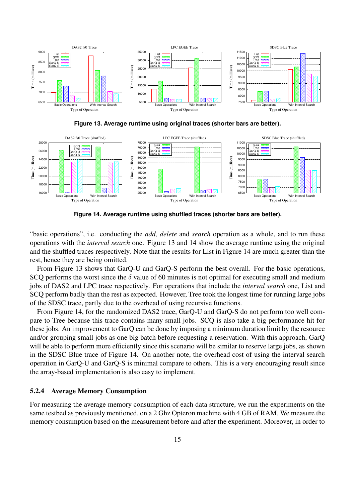





**Figure 14. Average runtime using shuffled traces (shorter bars are better).**

"basic operations", i.e. conducting the *add, delete* and *search* operation as a whole, and to run these operations with the *interval search* one. Figure 13 and 14 show the average runtime using the original and the shuffled traces respectively. Note that the results for List in Figure 14 are much greater than the rest, hence they are being omitted.

From Figure 13 shows that GarQ-U and GarQ-S perform the best overall. For the basic operations, SCQ performs the worst since the  $\delta$  value of 60 minutes is not optimal for executing small and medium jobs of DAS2 and LPC trace respectively. For operations that include the *interval search* one, List and SCQ perform badly than the rest as expected. However, Tree took the longest time for running large jobs of the SDSC trace, partly due to the overhead of using recursive functions.

From Figure 14, for the randomized DAS2 trace, GarQ-U and GarQ-S do not perform too well compare to Tree because this trace contains many small jobs. SCQ is also take a big performance hit for these jobs. An improvement to GarQ can be done by imposing a minimum duration limit by the resource and/or grouping small jobs as one big batch before requesting a reservation. With this approach, GarQ will be able to perform more efficiently since this scenario will be similar to reserve large jobs, as shown in the SDSC Blue trace of Figure 14. On another note, the overhead cost of using the interval search operation in GarQ-U and GarQ-S is minimal compare to others. This is a very encouraging result since the array-based implementation is also easy to implement.

## **5.2.4 Average Memory Consumption**

For measuring the average memory consumption of each data structure, we run the experiments on the same testbed as previously mentioned, on a 2 Ghz Opteron machine with 4 GB of RAM. We measure the memory consumption based on the measurement before and after the experiment. Moreover, in order to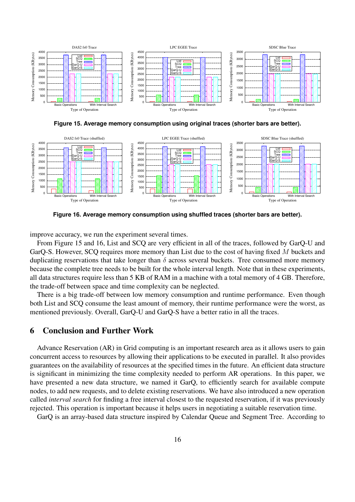





**Figure 16. Average memory consumption using shuffled traces (shorter bars are better).**

improve accuracy, we run the experiment several times.

From Figure 15 and 16, List and SCQ are very efficient in all of the traces, followed by GarQ-U and GarQ-S. However, SCQ requires more memory than List due to the cost of having fixed M buckets and duplicating reservations that take longer than  $\delta$  across several buckets. Tree consumed more memory because the complete tree needs to be built for the whole interval length. Note that in these experiments, all data structures require less than 5 KB of RAM in a machine with a total memory of 4 GB. Therefore, the trade-off between space and time complexity can be neglected.

There is a big trade-off between low memory consumption and runtime performance. Even though both List and SCQ consume the least amount of memory, their runtime performance were the worst, as mentioned previously. Overall, GarQ-U and GarQ-S have a better ratio in all the traces.

## **6 Conclusion and Further Work**

Advance Reservation (AR) in Grid computing is an important research area as it allows users to gain concurrent access to resources by allowing their applications to be executed in parallel. It also provides guarantees on the availability of resources at the specified times in the future. An efficient data structure is significant in minimizing the time complexity needed to perform AR operations. In this paper, we have presented a new data structure, we named it GarQ, to efficiently search for available compute nodes, to add new requests, and to delete existing reservations. We have also introduced a new operation called *interval search* for finding a free interval closest to the requested reservation, if it was previously rejected. This operation is important because it helps users in negotiating a suitable reservation time.

GarQ is an array-based data structure inspired by Calendar Queue and Segment Tree. According to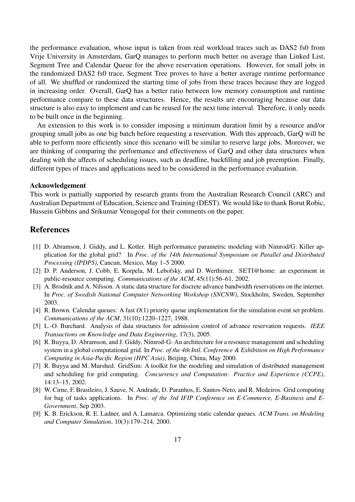the performance evaluation, whose input is taken from real workload traces such as DAS2 fs0 from Vrije University in Amsterdam, GarQ manages to perform much better on average than Linked List, Segment Tree and Calendar Queue for the above reservation operations. However, for small jobs in the randomized DAS2 fs0 trace, Segment Tree proves to have a better average runtime performance of all. We shuffled or randomized the starting time of jobs from these traces because they are logged in increasing order. Overall, GarQ has a better ratio between low memory consumption and runtime performance compare to these data structures. Hence, the results are encouraging because our data structure is also easy to implement and can be reused for the next time interval. Therefore, it only needs to be built once in the beginning.

An extension to this work is to consider imposing a minimum duration limit by a resource and/or grouping small jobs as one big batch before requesting a reservation. With this approach, GarQ will be able to perform more efficiently since this scenario will be similar to reserve large jobs. Moreover, we are thinking of comparing the performance and effectiveness of GarQ and other data structures when dealing with the affects of scheduling issues, such as deadline, backfilling and job preemption. Finally, different types of traces and applications need to be considered in the performance evaluation.

#### **Acknowledgement**

This work is partially supported by research grants from the Australian Research Council (ARC) and Australian Department of Education, Science and Training (DEST). We would like to thank Borut Robic, Hussein Gibbins and Srikumar Venugopal for their comments on the paper.

## **References**

- [1] D. Abramson, J. Giddy, and L. Kotler. High performance parametric modeling with Nimrod/G: Killer application for the global grid? In *Proc. of the 14th International Symposium on Parallel and Distributed Processing (IPDPS)*, Cancun, Mexico, May 1–5 2000.
- [2] D. P. Anderson, J. Cobb, E. Korpela, M. Lebofsky, and D. Werthimer. SETI@home: an experiment in public-resource computing. *Communications of the ACM*, 45(11):56–61, 2002.
- [3] A. Brodnik and A. Nilsson. A static data structure for discrete advance bandwidth reservations on the internet. In *Proc. of Swedish National Computer Networking Workshop (SNCNW)*, Stockholm, Sweden, September 2003.
- [4] R. Brown. Calendar queues: A fast *O*(1) priority queue implementation for the simulation event set problem. *Communications of the ACM*, 31(10):1220–1227, 1988.
- [5] L.-O. Burchard. Analysis of data structures for admission control of advance reservation requests. *IEEE Transactions on Knowledge and Data Engineering*, 17(3), 2005.
- [6] R. Buyya, D. Abramson, and J. Giddy. Nimrod-G: An architecture for a resource management and scheduling system in a global computational grid. In *Proc. of the 4th Intl. Conference & Exhibition on High Performance Computing in Asia-Pacific Region (HPC Asia)*, Beijing, China, May 2000.
- [7] R. Buyya and M. Murshed. GridSim: A toolkit for the modeling and simulation of distributed management and scheduling for grid computing. *Concurrency and Computation: Practice and Experience (CCPE)*, 14:13–15, 2002.
- [8] W. Cirne, F. Brasileiro, J. Sauve, N. Andrade, D. Paranhos, E. Santos-Neto, and R. Medeiros. Grid computing for bag of tasks applications. In *Proc. of the 3rd IFIP Conference on E-Commerce, E-Business and E-Government*, Sep 2003.
- [9] K. B. Erickson, R. E. Ladner, and A. Lamarca. Optimizing static calendar queues. *ACM Trans. on Modeling and Computer Simulation*, 10(3):179–214, 2000.